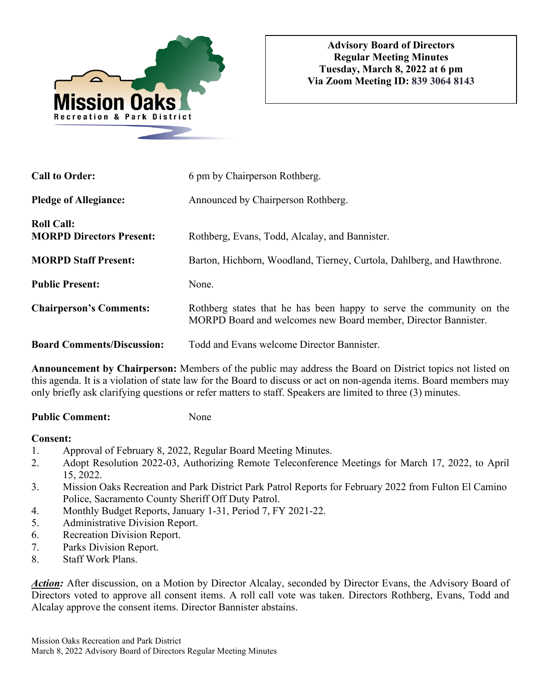

| <b>Call to Order:</b>                                | 6 pm by Chairperson Rothberg.                                                                                                          |
|------------------------------------------------------|----------------------------------------------------------------------------------------------------------------------------------------|
| <b>Pledge of Allegiance:</b>                         | Announced by Chairperson Rothberg.                                                                                                     |
| <b>Roll Call:</b><br><b>MORPD Directors Present:</b> | Rothberg, Evans, Todd, Alcalay, and Bannister.                                                                                         |
| <b>MORPD Staff Present:</b>                          | Barton, Hichborn, Woodland, Tierney, Curtola, Dahlberg, and Hawthrone.                                                                 |
| <b>Public Present:</b>                               | None.                                                                                                                                  |
| <b>Chairperson's Comments:</b>                       | Rothberg states that he has been happy to serve the community on the<br>MORPD Board and welcomes new Board member, Director Bannister. |
| <b>Board Comments/Discussion:</b>                    | Todd and Evans welcome Director Bannister.                                                                                             |

**Announcement by Chairperson:** Members of the public may address the Board on District topics not listed on this agenda. It is a violation of state law for the Board to discuss or act on non-agenda items. Board members may only briefly ask clarifying questions or refer matters to staff. Speakers are limited to three (3) minutes.

Public Comment: None

## **Consent:**

- 1. Approval of February 8, 2022, Regular Board Meeting Minutes.
- 2. Adopt Resolution 2022-03, Authorizing Remote Teleconference Meetings for March 17, 2022, to April 15, 2022.
- 3. Mission Oaks Recreation and Park District Park Patrol Reports for February 2022 from Fulton El Camino Police, Sacramento County Sheriff Off Duty Patrol.
- 4. Monthly Budget Reports, January 1-31, Period 7, FY 2021-22.
- 5. Administrative Division Report.
- 6. Recreation Division Report.
- 7. Parks Division Report.
- 8. Staff Work Plans.

*Action:* After discussion, on a Motion by Director Alcalay, seconded by Director Evans, the Advisory Board of Directors voted to approve all consent items. A roll call vote was taken. Directors Rothberg, Evans, Todd and Alcalay approve the consent items. Director Bannister abstains.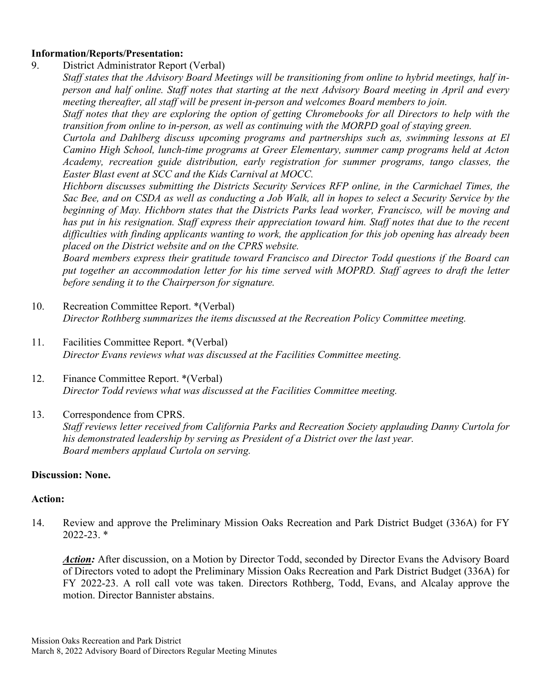## **Information/Reports/Presentation:**

9. District Administrator Report (Verbal)

*Staff states that the Advisory Board Meetings will be transitioning from online to hybrid meetings, half inperson and half online. Staff notes that starting at the next Advisory Board meeting in April and every meeting thereafter, all staff will be present in-person and welcomes Board members to join.* 

*Staff notes that they are exploring the option of getting Chromebooks for all Directors to help with the transition from online to in-person, as well as continuing with the MORPD goal of staying green.* 

*Curtola and Dahlberg discuss upcoming programs and partnerships such as, swimming lessons at El Camino High School, lunch-time programs at Greer Elementary, summer camp programs held at Acton Academy, recreation guide distribution, early registration for summer programs, tango classes, the Easter Blast event at SCC and the Kids Carnival at MOCC.* 

*Hichborn discusses submitting the Districts Security Services RFP online, in the Carmichael Times, the Sac Bee, and on CSDA as well as conducting a Job Walk, all in hopes to select a Security Service by the beginning of May. Hichborn states that the Districts Parks lead worker, Francisco, will be moving and has put in his resignation. Staff express their appreciation toward him. Staff notes that due to the recent difficulties with finding applicants wanting to work, the application for this job opening has already been placed on the District website and on the CPRS website.* 

*Board members express their gratitude toward Francisco and Director Todd questions if the Board can put together an accommodation letter for his time served with MOPRD. Staff agrees to draft the letter before sending it to the Chairperson for signature.* 

- 10. Recreation Committee Report. \*(Verbal) *Director Rothberg summarizes the items discussed at the Recreation Policy Committee meeting.*
- 11. Facilities Committee Report. \*(Verbal) *Director Evans reviews what was discussed at the Facilities Committee meeting.*
- 12. Finance Committee Report. \*(Verbal) *Director Todd reviews what was discussed at the Facilities Committee meeting.*
- 13. Correspondence from CPRS. *Staff reviews letter received from California Parks and Recreation Society applauding Danny Curtola for his demonstrated leadership by serving as President of a District over the last year. Board members applaud Curtola on serving.*

## **Discussion: None.**

## **Action:**

14. Review and approve the Preliminary Mission Oaks Recreation and Park District Budget (336A) for FY 2022-23. \*

*Action:* After discussion, on a Motion by Director Todd, seconded by Director Evans the Advisory Board of Directors voted to adopt the Preliminary Mission Oaks Recreation and Park District Budget (336A) for FY 2022-23. A roll call vote was taken. Directors Rothberg, Todd, Evans, and Alcalay approve the motion. Director Bannister abstains.